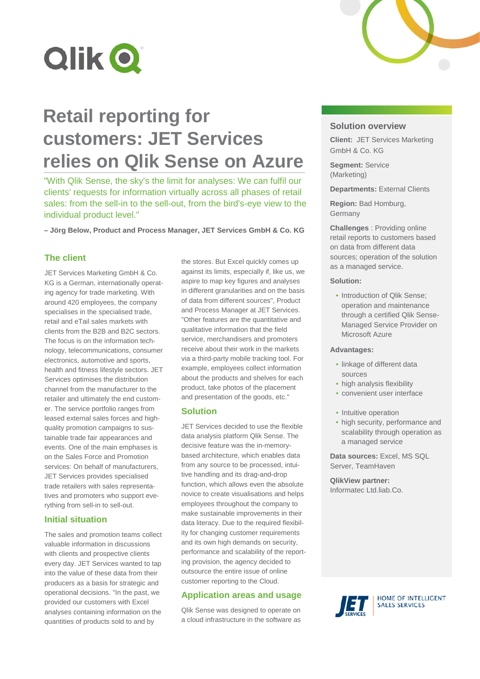

# **Retail reporting for customers: JET Services relies on Qlik Sense on Azure**

"With Qlik Sense, the sky's the limit for analyses: We can fulfil our clients' requests for information virtually across all phases of retail sales: from the sell-in to the sell-out, from the bird's-eye view to the individual product level."

**– Jörg Below, Product and Process Manager, JET Services GmbH & Co. KG**

# **The client**

JET Services Marketing GmbH & Co. KG is a German, internationally operating agency for trade marketing. With around 420 employees, the company specialises in the specialised trade, retail and eTail sales markets with clients from the B2B and B2C sectors. The focus is on the information technology, telecommunications, consumer electronics, automotive and sports, health and fitness lifestyle sectors. JET Services optimises the distribution channel from the manufacturer to the retailer and ultimately the end customer. The service portfolio ranges from leased external sales forces and highquality promotion campaigns to sustainable trade fair appearances and events. One of the main emphases is on the Sales Force and Promotion services: On behalf of manufacturers, JET Services provides specialised trade retailers with sales representatives and promoters who support everything from sell-in to sell-out.

# **Initial situation**

The sales and promotion teams collect valuable information in discussions with clients and prospective clients every day. JET Services wanted to tap into the value of these data from their producers as a basis for strategic and operational decisions. "In the past, we provided our customers with Excel analyses containing information on the quantities of products sold to and by

the stores. But Excel quickly comes up against its limits, especially if, like us, we aspire to map key figures and analyses in different granularities and on the basis of data from different sources", Product and Process Manager at JET Services. "Other features are the quantitative and qualitative information that the field service, merchandisers and promoters receive about their work in the markets via a third-party mobile tracking tool. For example, employees collect information about the products and shelves for each product, take photos of the placement and presentation of the goods, etc."

## **Solution**

JET Services decided to use the flexible data analysis platform Qlik Sense. The decisive feature was the in-memorybased architecture, which enables data from any source to be processed, intuitive handling and its drag-and-drop function, which allows even the absolute novice to create visualisations and helps employees throughout the company to make sustainable improvements in their data literacy. Due to the required flexibility for changing customer requirements and its own high demands on security, performance and scalability of the reporting provision, the agency decided to outsource the entire issue of online customer reporting to the Cloud.

## **Application areas and usage**

Qlik Sense was designed to operate on a cloud infrastructure in the software as



**Client:** JET Services Marketing GmbH & Co. KG

**Segment:** Service (Marketing)

**Departments: External Clients** 

**Region:** Bad Homburg, Germany

**Challenges** : Providing online retail reports to customers based on data from different data sources; operation of the solution as a managed service.

#### **Solution:**

• Introduction of Olik Sense: operation and maintenance through a certified Qlik Sense-Managed Service Provider on Microsoft Azure

#### **Advantages:**

- linkage of different data sources
- high analysis flexibility
- convenient user interface
- Intuitive operation
- high security, performance and scalability through operation as a managed service

**Data sources:** Excel, MS SQL Server, TeamHaven

**QlikView partner:**  Informatec Ltd.liab.Co.